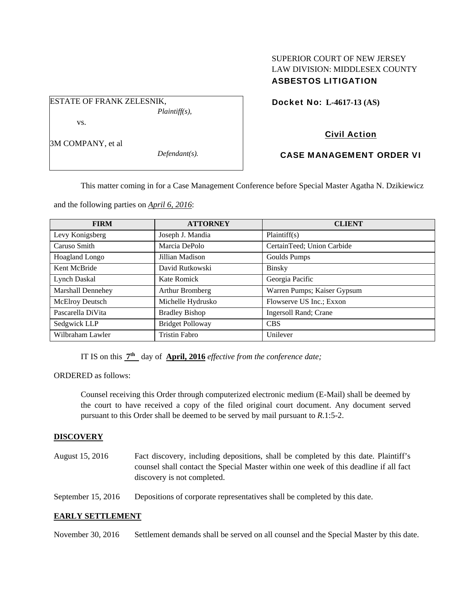# SUPERIOR COURT OF NEW JERSEY LAW DIVISION: MIDDLESEX COUNTY ASBESTOS LITIGATION

Docket No: **L-4617-13 (AS)** 

# Civil Action

## CASE MANAGEMENT ORDER VI

This matter coming in for a Case Management Conference before Special Master Agatha N. Dzikiewicz

and the following parties on *April 6, 2016*:

| <b>FIRM</b>           | <b>ATTORNEY</b>         | <b>CLIENT</b>               |
|-----------------------|-------------------------|-----------------------------|
| Levy Konigsberg       | Joseph J. Mandia        | Plaintiff(s)                |
| Caruso Smith          | Marcia DePolo           | CertainTeed; Union Carbide  |
| <b>Hoagland Longo</b> | Jillian Madison         | Goulds Pumps                |
| Kent McBride          | David Rutkowski         | <b>Binsky</b>               |
| <b>Lynch Daskal</b>   | Kate Romick             | Georgia Pacific             |
| Marshall Dennehey     | Arthur Bromberg         | Warren Pumps; Kaiser Gypsum |
| McElroy Deutsch       | Michelle Hydrusko       | Flowserve US Inc.; Exxon    |
| Pascarella DiVita     | <b>Bradley Bishop</b>   | Ingersoll Rand; Crane       |
| Sedgwick LLP          | <b>Bridget Polloway</b> | <b>CBS</b>                  |
| Wilbraham Lawler      | <b>Tristin Fabro</b>    | Unilever                    |

IT IS on this **7th** day of **April, 2016** *effective from the conference date;*

ORDERED as follows:

Counsel receiving this Order through computerized electronic medium (E-Mail) shall be deemed by the court to have received a copy of the filed original court document. Any document served pursuant to this Order shall be deemed to be served by mail pursuant to *R*.1:5-2.

### **DISCOVERY**

| August 15, 2016 | Fact discovery, including depositions, shall be completed by this date. Plaintiff's   |
|-----------------|---------------------------------------------------------------------------------------|
|                 | counsel shall contact the Special Master within one week of this deadline if all fact |
|                 | discovery is not completed.                                                           |
|                 |                                                                                       |

September 15, 2016 Depositions of corporate representatives shall be completed by this date.

### **EARLY SETTLEMENT**

November 30, 2016 Settlement demands shall be served on all counsel and the Special Master by this date.

3M COMPANY, et al

vs.

ESTATE OF FRANK ZELESNIK,

*Defendant(s).* 

*Plaintiff(s),*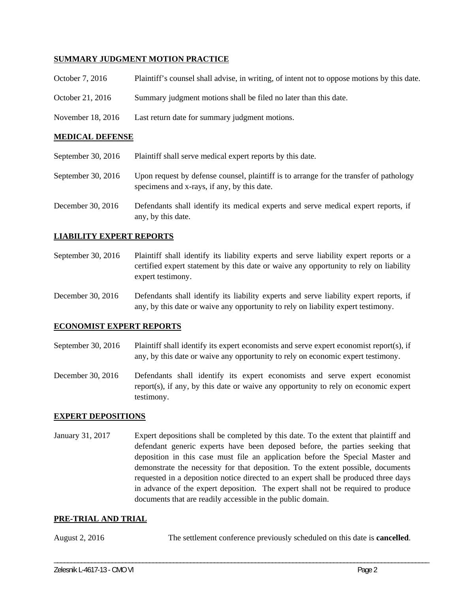### **SUMMARY JUDGMENT MOTION PRACTICE**

| Plaintiff's counsel shall advise, in writing, of intent not to oppose motions by this date. |
|---------------------------------------------------------------------------------------------|
| Summary judgment motions shall be filed no later than this date.                            |
| Last return date for summary judgment motions.                                              |
|                                                                                             |

### **MEDICAL DEFENSE**

| September 30, 2016 | Plaintiff shall serve medical expert reports by this date.                                                                            |
|--------------------|---------------------------------------------------------------------------------------------------------------------------------------|
| September 30, 2016 | Upon request by defense counsel, plaintiff is to arrange for the transfer of pathology<br>specimens and x-rays, if any, by this date. |
| December 30, 2016  | Defendants shall identify its medical experts and serve medical expert reports, if<br>any, by this date.                              |

### **LIABILITY EXPERT REPORTS**

- September 30, 2016 Plaintiff shall identify its liability experts and serve liability expert reports or a certified expert statement by this date or waive any opportunity to rely on liability expert testimony.
- December 30, 2016 Defendants shall identify its liability experts and serve liability expert reports, if any, by this date or waive any opportunity to rely on liability expert testimony.

#### **ECONOMIST EXPERT REPORTS**

September 30, 2016 Plaintiff shall identify its expert economists and serve expert economist report(s), if any, by this date or waive any opportunity to rely on economic expert testimony.

December 30, 2016 Defendants shall identify its expert economists and serve expert economist report(s), if any, by this date or waive any opportunity to rely on economic expert testimony.

#### **EXPERT DEPOSITIONS**

January 31, 2017 Expert depositions shall be completed by this date. To the extent that plaintiff and defendant generic experts have been deposed before, the parties seeking that deposition in this case must file an application before the Special Master and demonstrate the necessity for that deposition. To the extent possible, documents requested in a deposition notice directed to an expert shall be produced three days in advance of the expert deposition. The expert shall not be required to produce documents that are readily accessible in the public domain.

#### **PRE-TRIAL AND TRIAL**

August 2, 2016 The settlement conference previously scheduled on this date is **cancelled**.

\_\_\_\_\_\_\_\_\_\_\_\_\_\_\_\_\_\_\_\_\_\_\_\_\_\_\_\_\_\_\_\_\_\_\_\_\_\_\_\_\_\_\_\_\_\_\_\_\_\_\_\_\_\_\_\_\_\_\_\_\_\_\_\_\_\_\_\_\_\_\_\_\_\_\_\_\_\_\_\_\_\_\_\_\_\_\_\_\_\_\_\_\_\_\_\_\_\_\_\_\_\_\_\_\_\_\_\_\_\_